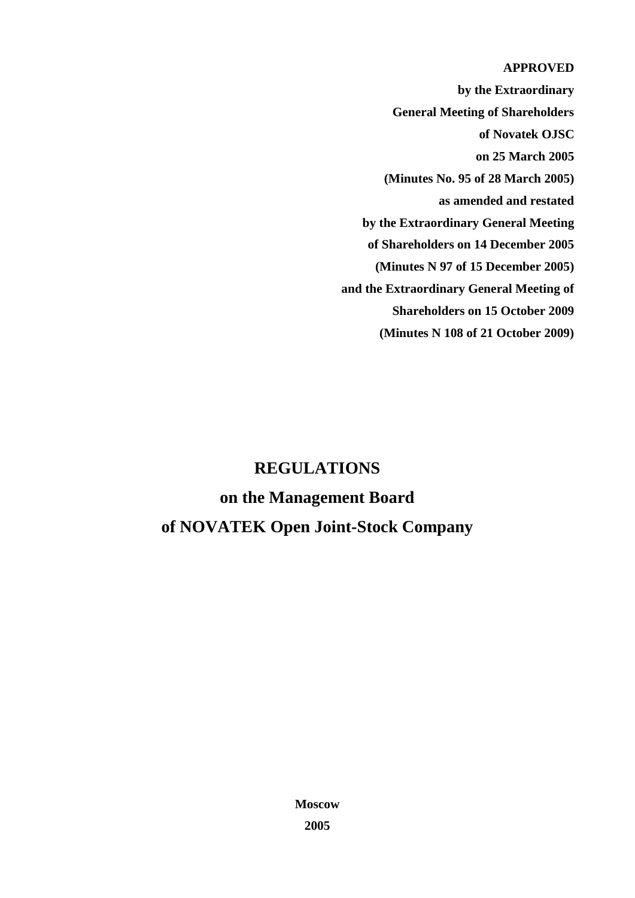## **APPROVED**

**by the Extraordinary General Meeting of Shareholders of Novatek OJSC on 25 March 2005 (Minutes No. 95 of 28 March 2005) as amended and restated by the Extraordinary General Meeting of Shareholders on 14 December 2005 (Minutes N 97 of 15 December 2005) and the Extraordinary General Meeting of Shareholders on 15 October 2009 (Minutes N 108 of 21 October 2009)**

# **REGULATIONS on the Management Board of NOVATEK Open Joint-Stock Company**

**Moscow 2005**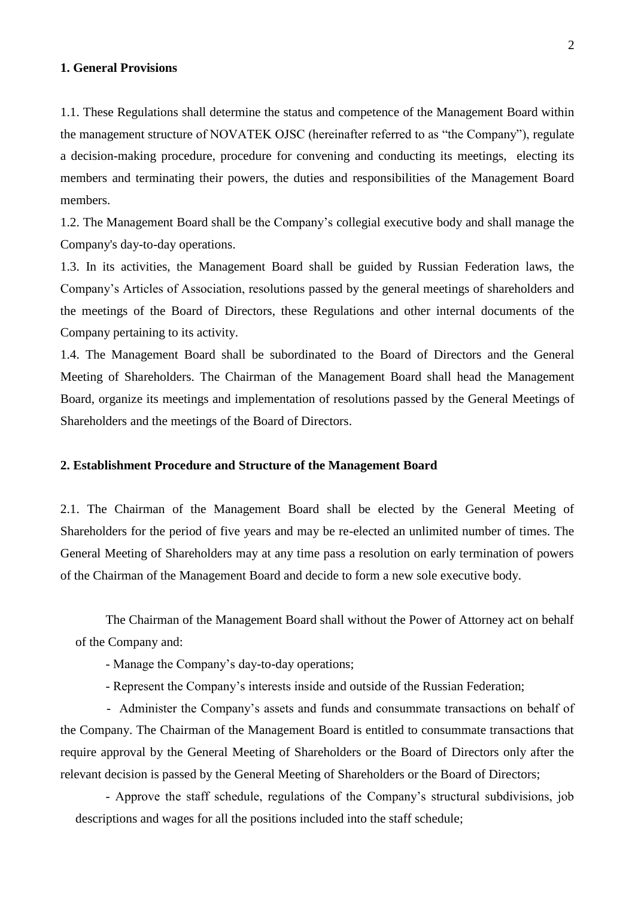## **1. General Provisions**

1.1. These Regulations shall determine the status and competence of the Management Board within the management structure of NOVATEK OJSC (hereinafter referred to as "the Company"), regulate a decision-making procedure, procedure for convening and conducting its meetings, electing its members and terminating their powers, the duties and responsibilities of the Management Board members.

1.2. The Management Board shall be the Company's collegial executive body and shall manage the Company's day-to-day operations.

1.3. In its activities, the Management Board shall be guided by Russian Federation laws, the Company's Articles of Association, resolutions passed by the general meetings of shareholders and the meetings of the Board of Directors, these Regulations and other internal documents of the Company pertaining to its activity.

1.4. The Management Board shall be subordinated to the Board of Directors and the General Meeting of Shareholders. The Chairman of the Management Board shall head the Management Board, organize its meetings and implementation of resolutions passed by the General Meetings of Shareholders and the meetings of the Board of Directors.

## **2. Establishment Procedure and Structure of the Management Board**

2.1. The Chairman of the Management Board shall be elected by the General Meeting of Shareholders for the period of five years and may be re-elected an unlimited number of times. The General Meeting of Shareholders may at any time pass a resolution on early termination of powers of the Chairman of the Management Board and decide to form a new sole executive body.

The Chairman of the Management Board shall without the Power of Attorney act on behalf of the Company and:

- Manage the Company's day-to-day operations;

- Represent the Company's interests inside and outside of the Russian Federation;

 - Administer the Company's assets and funds and consummate transactions on behalf of the Company. The Chairman of the Management Board is entitled to consummate transactions that require approval by the General Meeting of Shareholders or the Board of Directors only after the relevant decision is passed by the General Meeting of Shareholders or the Board of Directors;

- Approve the staff schedule, regulations of the Company's structural subdivisions, job descriptions and wages for all the positions included into the staff schedule;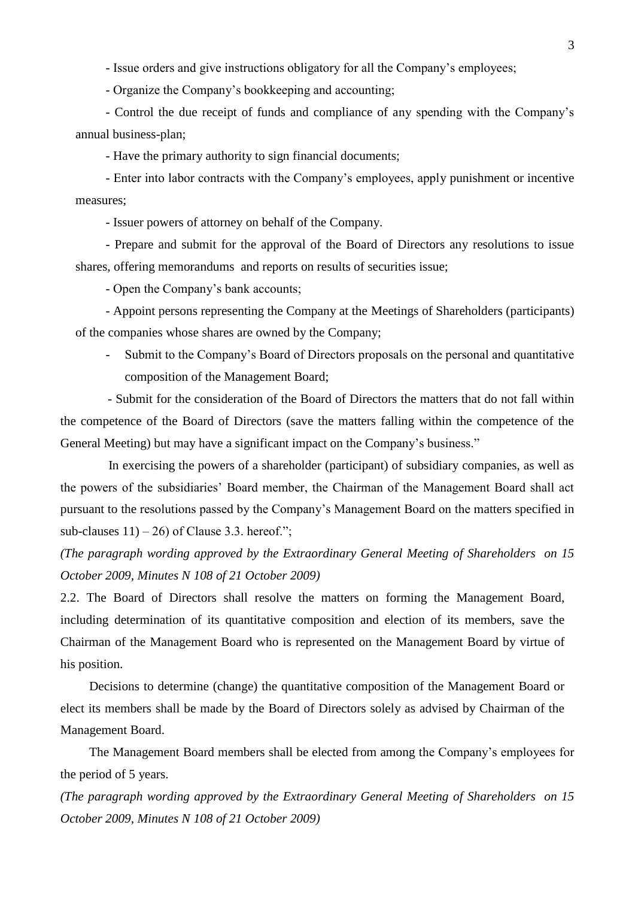- Issue orders and give instructions obligatory for all the Company's employees;

- Organize the Company's bookkeeping and accounting;

- Control the due receipt of funds and compliance of any spending with the Company's annual business-plan;

- Have the primary authority to sign financial documents;

- Enter into labor contracts with the Company's employees, apply punishment or incentive measures;

- Issuer powers of attorney on behalf of the Company.

- Prepare and submit for the approval of the Board of Directors any resolutions to issue shares, offering memorandums and reports on results of securities issue;

- Open the Company's bank accounts;

- Appoint persons representing the Company at the Meetings of Shareholders (participants) of the companies whose shares are owned by the Company;

- Submit to the Company's Board of Directors proposals on the personal and quantitative composition of the Management Board;

 - Submit for the consideration of the Board of Directors the matters that do not fall within the competence of the Board of Directors (save the matters falling within the competence of the General Meeting) but may have a significant impact on the Company's business."

 In exercising the powers of a shareholder (participant) of subsidiary companies, as well as the powers of the subsidiaries' Board member, the Chairman of the Management Board shall act pursuant to the resolutions passed by the Company's Management Board on the matters specified in sub-clauses  $11$ ) – 26) of Clause 3.3. hereof.";

*(The paragraph wording approved by the Extraordinary General Meeting of Shareholders on 15 October 2009, Minutes N 108 of 21 October 2009)*

2.2. The Board of Directors shall resolve the matters on forming the Management Board, including determination of its quantitative composition and election of its members, save the Chairman of the Management Board who is represented on the Management Board by virtue of his position.

 Decisions to determine (change) the quantitative composition of the Management Board or elect its members shall be made by the Board of Directors solely as advised by Chairman of the Management Board.

 The Management Board members shall be elected from among the Company's employees for the period of 5 years.

*(The paragraph wording approved by the Extraordinary General Meeting of Shareholders on 15 October 2009, Minutes N 108 of 21 October 2009)*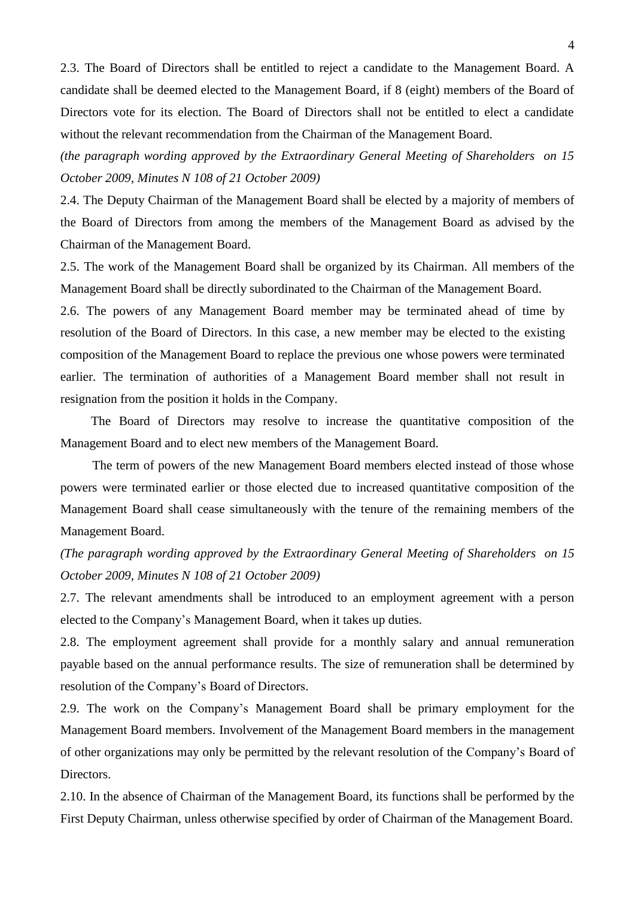2.3. The Board of Directors shall be entitled to reject a candidate to the Management Board. A candidate shall be deemed elected to the Management Board, if 8 (eight) members of the Board of Directors vote for its election. The Board of Directors shall not be entitled to elect a candidate without the relevant recommendation from the Chairman of the Management Board.

*(the paragraph wording approved by the Extraordinary General Meeting of Shareholders on 15 October 2009, Minutes N 108 of 21 October 2009)*

2.4. The Deputy Chairman of the Management Board shall be elected by a majority of members of the Board of Directors from among the members of the Management Board as advised by the Chairman of the Management Board.

2.5. The work of the Management Board shall be organized by its Chairman. All members of the Management Board shall be directly subordinated to the Chairman of the Management Board.

2.6. The powers of any Management Board member may be terminated ahead of time by resolution of the Board of Directors. In this case, a new member may be elected to the existing composition of the Management Board to replace the previous one whose powers were terminated earlier. The termination of authorities of a Management Board member shall not result in resignation from the position it holds in the Company.

 The Board of Directors may resolve to increase the quantitative composition of the Management Board and to elect new members of the Management Board.

 The term of powers of the new Management Board members elected instead of those whose powers were terminated earlier or those elected due to increased quantitative composition of the Management Board shall cease simultaneously with the tenure of the remaining members of the Management Board.

*(The paragraph wording approved by the Extraordinary General Meeting of Shareholders on 15 October 2009, Minutes N 108 of 21 October 2009)*

2.7. The relevant amendments shall be introduced to an employment agreement with a person elected to the Company's Management Board, when it takes up duties.

2.8. The employment agreement shall provide for a monthly salary and annual remuneration payable based on the annual performance results. The size of remuneration shall be determined by resolution of the Company's Board of Directors.

2.9. The work on the Company's Management Board shall be primary employment for the Management Board members. Involvement of the Management Board members in the management of other organizations may only be permitted by the relevant resolution of the Company's Board of Directors.

2.10. In the absence of Chairman of the Management Board, its functions shall be performed by the First Deputy Chairman, unless otherwise specified by order of Chairman of the Management Board.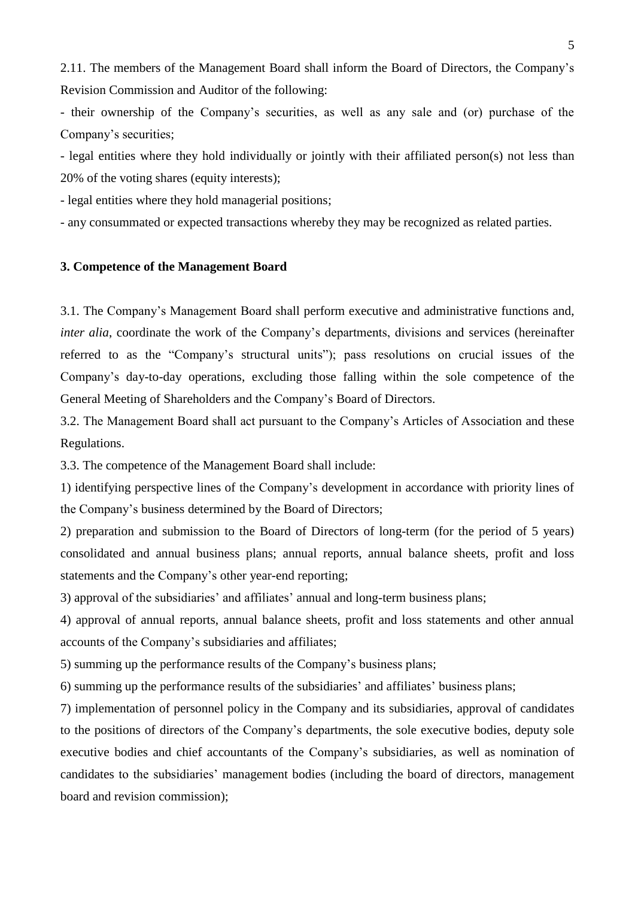2.11. The members of the Management Board shall inform the Board of Directors, the Company's Revision Commission and Auditor of the following:

- their ownership of the Company's securities, as well as any sale and (or) purchase of the Company's securities;

- legal entities where they hold individually or jointly with their affiliated person(s) not less than 20% of the voting shares (equity interests);

- legal entities where they hold managerial positions;

- any consummated or expected transactions whereby they may be recognized as related parties.

#### **3. Competence of the Management Board**

3.1. The Company's Management Board shall perform executive and administrative functions and, *inter alia*, coordinate the work of the Company's departments, divisions and services (hereinafter referred to as the "Company's structural units"); pass resolutions on crucial issues of the Company's day-to-day operations, excluding those falling within the sole competence of the General Meeting of Shareholders and the Company's Board of Directors.

3.2. The Management Board shall act pursuant to the Company's Articles of Association and these Regulations.

3.3. The competence of the Management Board shall include:

1) identifying perspective lines of the Company's development in accordance with priority lines of the Company's business determined by the Board of Directors;

2) preparation and submission to the Board of Directors of long-term (for the period of 5 years) consolidated and annual business plans; annual reports, annual balance sheets, profit and loss statements and the Company's other year-end reporting;

3) approval of the subsidiaries' and affiliates' annual and long-term business plans;

4) approval of annual reports, annual balance sheets, profit and loss statements and other annual accounts of the Company's subsidiaries and affiliates;

5) summing up the performance results of the Company's business plans;

6) summing up the performance results of the subsidiaries' and affiliates' business plans;

7) implementation of personnel policy in the Company and its subsidiaries, approval of candidates to the positions of directors of the Company's departments, the sole executive bodies, deputy sole executive bodies and chief accountants of the Company's subsidiaries, as well as nomination of candidates to the subsidiaries' management bodies (including the board of directors, management board and revision commission);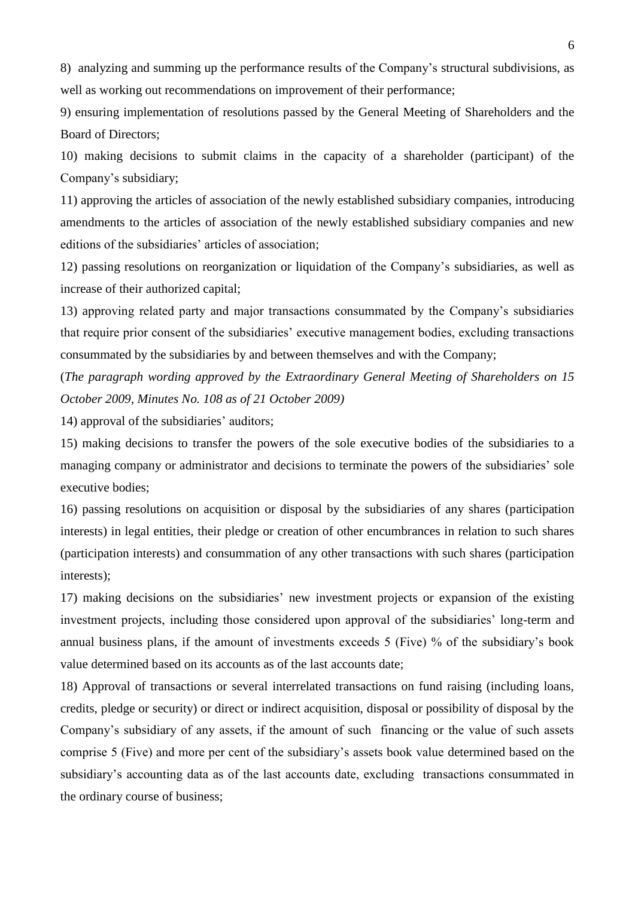8) analyzing and summing up the performance results of the Company's structural subdivisions, as well as working out recommendations on improvement of their performance;

9) ensuring implementation of resolutions passed by the General Meeting of Shareholders and the Board of Directors;

10) making decisions to submit claims in the capacity of a shareholder (participant) of the Company's subsidiary;

11) approving the articles of association of the newly established subsidiary companies, introducing amendments to the articles of association of the newly established subsidiary companies and new editions of the subsidiaries' articles of association;

12) passing resolutions on reorganization or liquidation of the Company's subsidiaries, as well as increase of their authorized capital;

13) approving related party and major transactions consummated by the Company's subsidiaries that require prior consent of the subsidiaries' executive management bodies, excluding transactions consummated by the subsidiaries by and between themselves and with the Company;

(*The paragraph wording approved by the Extraordinary General Meeting of Shareholders on 15 October 2009, Minutes No. 108 as of 21 October 2009)*

14) approval of the subsidiaries' auditors;

15) making decisions to transfer the powers of the sole executive bodies of the subsidiaries to a managing company or administrator and decisions to terminate the powers of the subsidiaries' sole executive bodies;

16) passing resolutions on acquisition or disposal by the subsidiaries of any shares (participation interests) in legal entities, their pledge or creation of other encumbrances in relation to such shares (participation interests) and consummation of any other transactions with such shares (participation interests);

17) making decisions on the subsidiaries' new investment projects or expansion of the existing investment projects, including those considered upon approval of the subsidiaries' long-term and annual business plans, if the amount of investments exceeds 5 (Five) % of the subsidiary's book value determined based on its accounts as of the last accounts date;

18) Approval of transactions or several interrelated transactions on fund raising (including loans, credits, pledge or security) or direct or indirect acquisition, disposal or possibility of disposal by the Company's subsidiary of any assets, if the amount of such financing or the value of such assets comprise 5 (Five) and more per cent of the subsidiary's assets book value determined based on the subsidiary's accounting data as of the last accounts date, excluding transactions consummated in the ordinary course of business;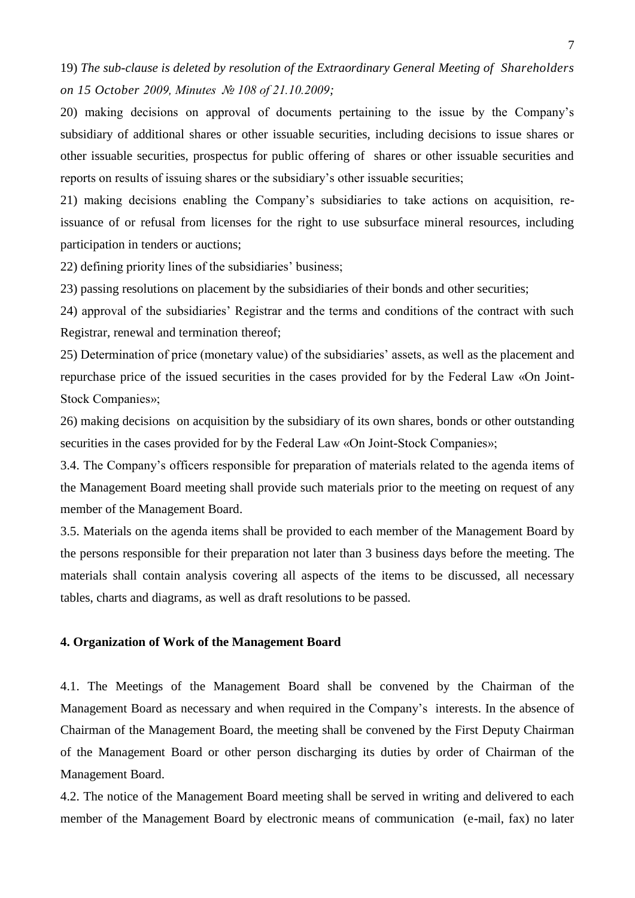19) *The sub-clause is deleted by resolution of the Extraordinary General Meeting of Shareholders on 15 October 2009, Minutes № 108 of 21.10.2009;*

20) making decisions on approval of documents pertaining to the issue by the Company's subsidiary of additional shares or other issuable securities, including decisions to issue shares or other issuable securities, prospectus for public offering of shares or other issuable securities and reports on results of issuing shares or the subsidiary's other issuable securities;

21) making decisions enabling the Company's subsidiaries to take actions on acquisition, reissuance of or refusal from licenses for the right to use subsurface mineral resources, including participation in tenders or auctions;

22) defining priority lines of the subsidiaries' business;

23) passing resolutions on placement by the subsidiaries of their bonds and other securities;

24) approval of the subsidiaries' Registrar and the terms and conditions of the contract with such Registrar, renewal and termination thereof;

25) Determination of price (monetary value) of the subsidiaries' assets, as well as the placement and repurchase price of the issued securities in the cases provided for by the Federal Law «On Joint-Stock Companies»;

26) making decisions on acquisition by the subsidiary of its own shares, bonds or other outstanding securities in the cases provided for by the Federal Law «On Joint-Stock Companies»;

3.4. The Company's officers responsible for preparation of materials related to the agenda items of the Management Board meeting shall provide such materials prior to the meeting on request of any member of the Management Board.

3.5. Materials on the agenda items shall be provided to each member of the Management Board by the persons responsible for their preparation not later than 3 business days before the meeting. The materials shall contain analysis covering all aspects of the items to be discussed, all necessary tables, charts and diagrams, as well as draft resolutions to be passed.

## **4. Organization of Work of the Management Board**

4.1. The Meetings of the Management Board shall be convened by the Chairman of the Management Board as necessary and when required in the Company's interests. In the absence of Chairman of the Management Board, the meeting shall be convened by the First Deputy Chairman of the Management Board or other person discharging its duties by order of Chairman of the Management Board.

4.2. The notice of the Management Board meeting shall be served in writing and delivered to each member of the Management Board by electronic means of communication (e-mail, fax) no later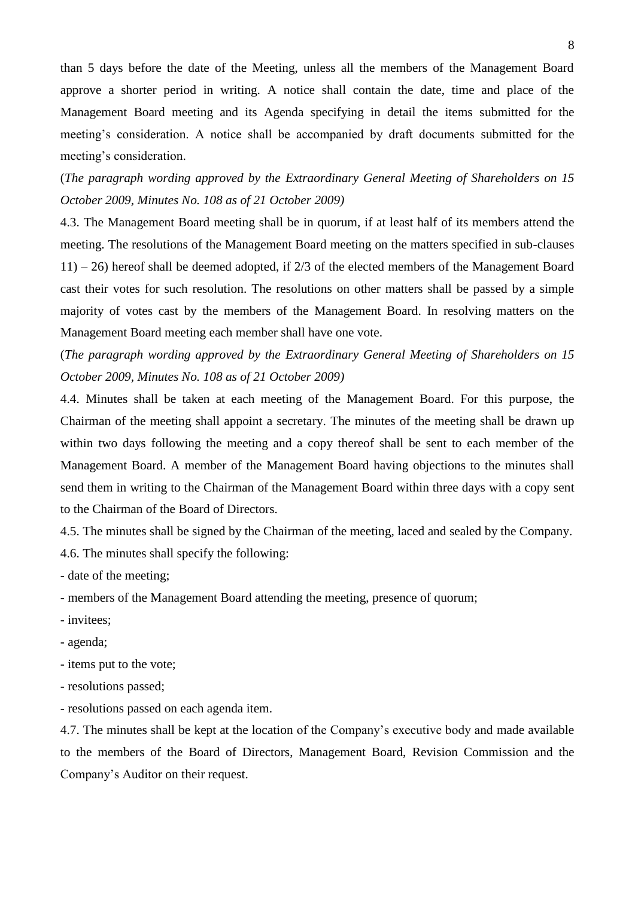than 5 days before the date of the Meeting, unless all the members of the Management Board approve a shorter period in writing. A notice shall contain the date, time and place of the Management Board meeting and its Agenda specifying in detail the items submitted for the meeting's consideration. A notice shall be accompanied by draft documents submitted for the meeting's consideration.

(*The paragraph wording approved by the Extraordinary General Meeting of Shareholders on 15 October 2009, Minutes No. 108 as of 21 October 2009)*

4.3. The Management Board meeting shall be in quorum, if at least half of its members attend the meeting. The resolutions of the Management Board meeting on the matters specified in sub-clauses  $11$ ) – 26) hereof shall be deemed adopted, if 2/3 of the elected members of the Management Board cast their votes for such resolution. The resolutions on other matters shall be passed by a simple majority of votes cast by the members of the Management Board. In resolving matters on the Management Board meeting each member shall have one vote.

(*The paragraph wording approved by the Extraordinary General Meeting of Shareholders on 15 October 2009, Minutes No. 108 as of 21 October 2009)*

4.4. Minutes shall be taken at each meeting of the Management Board. For this purpose, the Chairman of the meeting shall appoint a secretary. The minutes of the meeting shall be drawn up within two days following the meeting and a copy thereof shall be sent to each member of the Management Board. A member of the Management Board having objections to the minutes shall send them in writing to the Chairman of the Management Board within three days with a copy sent to the Chairman of the Board of Directors.

4.5. The minutes shall be signed by the Chairman of the meeting, laced and sealed by the Company.

4.6. The minutes shall specify the following:

- date of the meeting;

- members of the Management Board attending the meeting, presence of quorum;

- invitees;
- agenda;
- items put to the vote;
- resolutions passed;
- resolutions passed on each agenda item.

4.7. The minutes shall be kept at the location of the Company's executive body and made available to the members of the Board of Directors, Management Board, Revision Commission and the Company's Auditor on their request.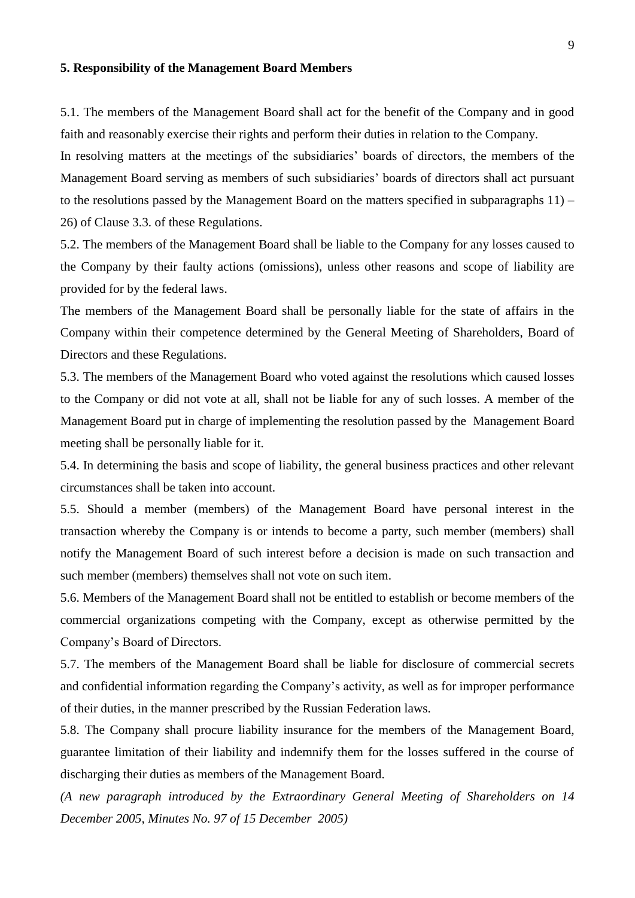#### **5. Responsibility of the Management Board Members**

5.1. The members of the Management Board shall act for the benefit of the Company and in good faith and reasonably exercise their rights and perform their duties in relation to the Company.

In resolving matters at the meetings of the subsidiaries' boards of directors, the members of the Management Board serving as members of such subsidiaries' boards of directors shall act pursuant to the resolutions passed by the Management Board on the matters specified in subparagraphs 11) – 26) of Clause 3.3. of these Regulations.

5.2. The members of the Management Board shall be liable to the Company for any losses caused to the Company by their faulty actions (omissions), unless other reasons and scope of liability are provided for by the federal laws.

The members of the Management Board shall be personally liable for the state of affairs in the Company within their competence determined by the General Meeting of Shareholders, Board of Directors and these Regulations.

5.3. The members of the Management Board who voted against the resolutions which caused losses to the Company or did not vote at all, shall not be liable for any of such losses. A member of the Management Board put in charge of implementing the resolution passed by the Management Board meeting shall be personally liable for it.

5.4. In determining the basis and scope of liability, the general business practices and other relevant circumstances shall be taken into account.

5.5. Should a member (members) of the Management Board have personal interest in the transaction whereby the Company is or intends to become a party, such member (members) shall notify the Management Board of such interest before a decision is made on such transaction and such member (members) themselves shall not vote on such item.

5.6. Members of the Management Board shall not be entitled to establish or become members of the commercial organizations competing with the Company, except as otherwise permitted by the Company's Board of Directors.

5.7. The members of the Management Board shall be liable for disclosure of commercial secrets and confidential information regarding the Company's activity, as well as for improper performance of their duties, in the manner prescribed by the Russian Federation laws.

5.8. The Company shall procure liability insurance for the members of the Management Board, guarantee limitation of their liability and indemnify them for the losses suffered in the course of discharging their duties as members of the Management Board.

*(A new paragraph introduced by the Extraordinary General Meeting of Shareholders on 14 December 2005, Minutes No. 97 of 15 December 2005)*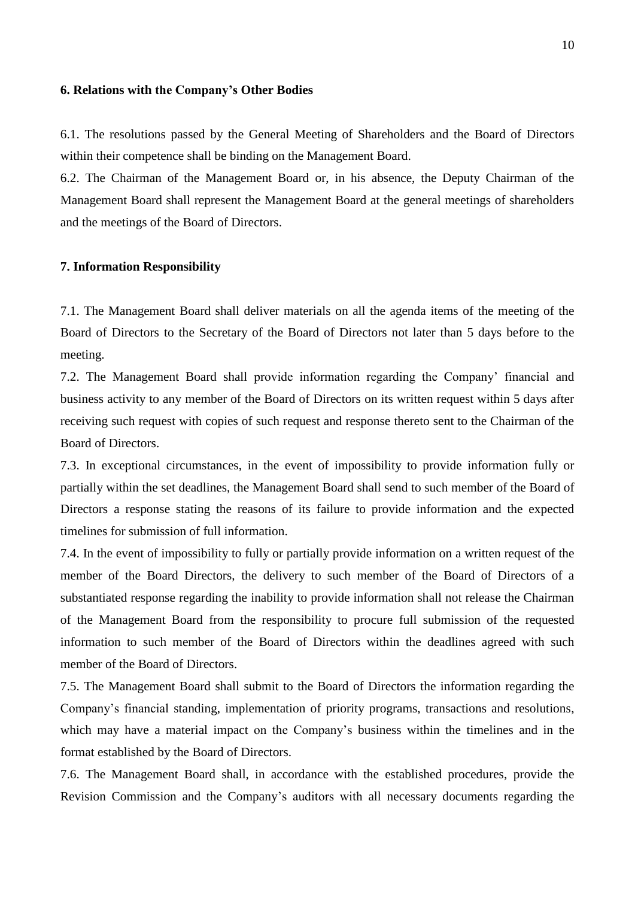#### **6. Relations with the Company's Other Bodies**

6.1. The resolutions passed by the General Meeting of Shareholders and the Board of Directors within their competence shall be binding on the Management Board.

6.2. The Chairman of the Management Board or, in his absence, the Deputy Chairman of the Management Board shall represent the Management Board at the general meetings of shareholders and the meetings of the Board of Directors.

#### **7. Information Responsibility**

7.1. The Management Board shall deliver materials on all the agenda items of the meeting of the Board of Directors to the Secretary of the Board of Directors not later than 5 days before to the meeting.

7.2. The Management Board shall provide information regarding the Company' financial and business activity to any member of the Board of Directors on its written request within 5 days after receiving such request with copies of such request and response thereto sent to the Chairman of the Board of Directors.

7.3. In exceptional circumstances, in the event of impossibility to provide information fully or partially within the set deadlines, the Management Board shall send to such member of the Board of Directors a response stating the reasons of its failure to provide information and the expected timelines for submission of full information.

7.4. In the event of impossibility to fully or partially provide information on a written request of the member of the Board Directors, the delivery to such member of the Board of Directors of a substantiated response regarding the inability to provide information shall not release the Chairman of the Management Board from the responsibility to procure full submission of the requested information to such member of the Board of Directors within the deadlines agreed with such member of the Board of Directors.

7.5. The Management Board shall submit to the Board of Directors the information regarding the Company's financial standing, implementation of priority programs, transactions and resolutions, which may have a material impact on the Company's business within the timelines and in the format established by the Board of Directors.

7.6. The Management Board shall, in accordance with the established procedures, provide the Revision Commission and the Company's auditors with all necessary documents regarding the